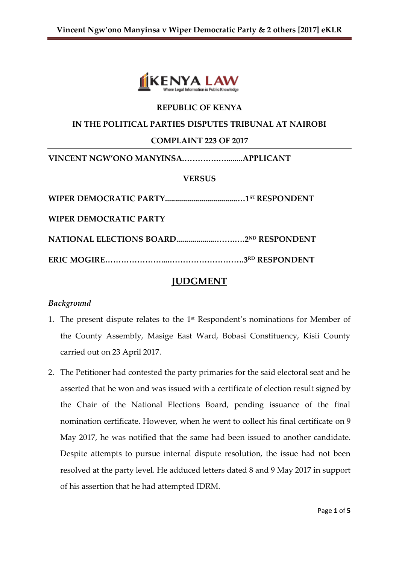

## **REPUBLIC OF KENYA**

#### **IN THE POLITICAL PARTIES DISPUTES TRIBUNAL AT NAIROBI**

#### **COMPLAINT 223 OF 2017**

**VINCENT NGW'ONO MANYINSA.………….…........APPLICANT**

### **VERSUS**

| WIPER DEMOCRATIC PARTY                        |  |
|-----------------------------------------------|--|
| <b>NATIONAL ELECTIONS BOARD2ND RESPONDENT</b> |  |
|                                               |  |

# **JUDGMENT**

#### *Background*

- 1. The present dispute relates to the  $1<sup>st</sup>$  Respondent's nominations for Member of the County Assembly, Masige East Ward, Bobasi Constituency, Kisii County carried out on 23 April 2017.
- 2. The Petitioner had contested the party primaries for the said electoral seat and he asserted that he won and was issued with a certificate of election result signed by the Chair of the National Elections Board, pending issuance of the final nomination certificate. However, when he went to collect his final certificate on 9 May 2017, he was notified that the same had been issued to another candidate. Despite attempts to pursue internal dispute resolution, the issue had not been resolved at the party level. He adduced letters dated 8 and 9 May 2017 in support of his assertion that he had attempted IDRM.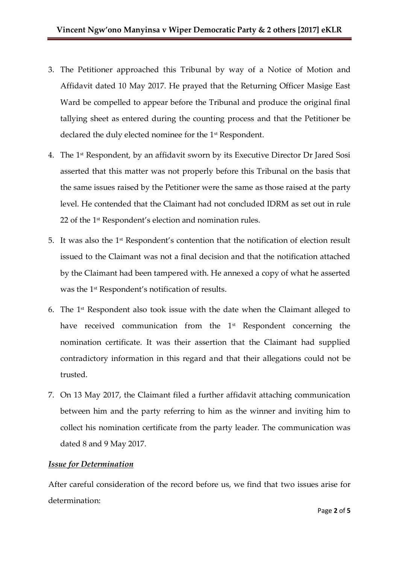- 3. The Petitioner approached this Tribunal by way of a Notice of Motion and Affidavit dated 10 May 2017. He prayed that the Returning Officer Masige East Ward be compelled to appear before the Tribunal and produce the original final tallying sheet as entered during the counting process and that the Petitioner be declared the duly elected nominee for the 1<sup>st</sup> Respondent.
- 4. The 1 st Respondent, by an affidavit sworn by its Executive Director Dr Jared Sosi asserted that this matter was not properly before this Tribunal on the basis that the same issues raised by the Petitioner were the same as those raised at the party level. He contended that the Claimant had not concluded IDRM as set out in rule 22 of the 1<sup>st</sup> Respondent's election and nomination rules.
- 5. It was also the 1st Respondent's contention that the notification of election result issued to the Claimant was not a final decision and that the notification attached by the Claimant had been tampered with. He annexed a copy of what he asserted was the 1<sup>st</sup> Respondent's notification of results.
- 6. The  $1<sup>st</sup>$  Respondent also took issue with the date when the Claimant alleged to have received communication from the 1<sup>st</sup> Respondent concerning the nomination certificate. It was their assertion that the Claimant had supplied contradictory information in this regard and that their allegations could not be trusted.
- 7. On 13 May 2017, the Claimant filed a further affidavit attaching communication between him and the party referring to him as the winner and inviting him to collect his nomination certificate from the party leader. The communication was dated 8 and 9 May 2017.

# *Issue for Determination*

After careful consideration of the record before us, we find that two issues arise for determination: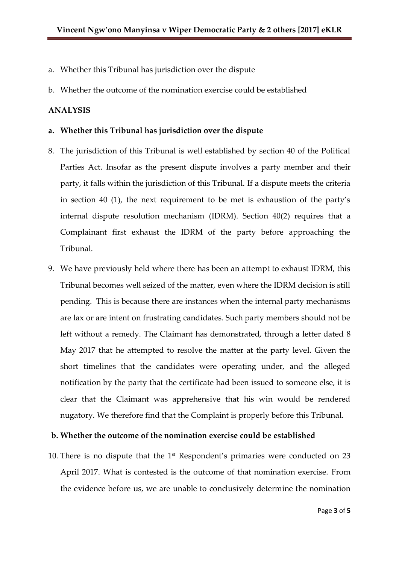- a. Whether this Tribunal has jurisdiction over the dispute
- b. Whether the outcome of the nomination exercise could be established

## **ANALYSIS**

## **a. Whether this Tribunal has jurisdiction over the dispute**

- 8. The jurisdiction of this Tribunal is well established by section 40 of the Political Parties Act. Insofar as the present dispute involves a party member and their party, it falls within the jurisdiction of this Tribunal. If a dispute meets the criteria in section 40 (1), the next requirement to be met is exhaustion of the party's internal dispute resolution mechanism (IDRM). Section 40(2) requires that a Complainant first exhaust the IDRM of the party before approaching the Tribunal.
- 9. We have previously held where there has been an attempt to exhaust IDRM, this Tribunal becomes well seized of the matter, even where the IDRM decision is still pending. This is because there are instances when the internal party mechanisms are lax or are intent on frustrating candidates. Such party members should not be left without a remedy. The Claimant has demonstrated, through a letter dated 8 May 2017 that he attempted to resolve the matter at the party level. Given the short timelines that the candidates were operating under, and the alleged notification by the party that the certificate had been issued to someone else, it is clear that the Claimant was apprehensive that his win would be rendered nugatory. We therefore find that the Complaint is properly before this Tribunal.

### **b. Whether the outcome of the nomination exercise could be established**

10. There is no dispute that the 1<sup>st</sup> Respondent's primaries were conducted on 23 April 2017. What is contested is the outcome of that nomination exercise. From the evidence before us, we are unable to conclusively determine the nomination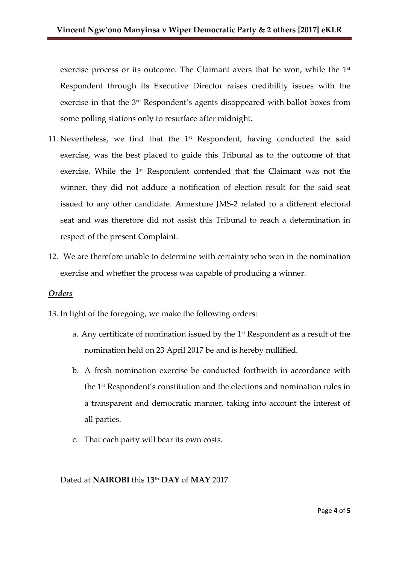exercise process or its outcome. The Claimant avers that he won, while the 1<sup>st</sup> Respondent through its Executive Director raises credibility issues with the exercise in that the 3rd Respondent's agents disappeared with ballot boxes from some polling stations only to resurface after midnight.

- 11. Nevertheless, we find that the  $1<sup>st</sup>$  Respondent, having conducted the said exercise, was the best placed to guide this Tribunal as to the outcome of that exercise. While the 1<sup>st</sup> Respondent contended that the Claimant was not the winner, they did not adduce a notification of election result for the said seat issued to any other candidate. Annexture JMS-2 related to a different electoral seat and was therefore did not assist this Tribunal to reach a determination in respect of the present Complaint.
- 12. We are therefore unable to determine with certainty who won in the nomination exercise and whether the process was capable of producing a winner.

# *Orders*

- 13. In light of the foregoing, we make the following orders:
	- a. Any certificate of nomination issued by the 1st Respondent as a result of the nomination held on 23 April 2017 be and is hereby nullified.
	- b. A fresh nomination exercise be conducted forthwith in accordance with the 1st Respondent's constitution and the elections and nomination rules in a transparent and democratic manner, taking into account the interest of all parties.
	- c. That each party will bear its own costs.

# Dated at **NAIROBI** this **13 th DAY** of **MAY** 2017